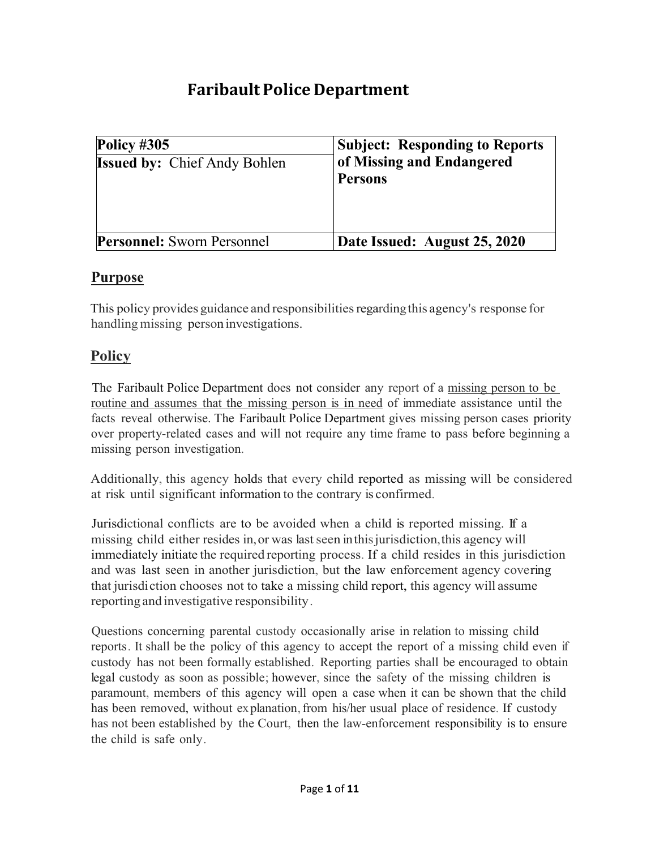# **Faribault Police Department**

| Policy $\#305$<br><b>Issued by: Chief Andy Bohlen</b> | <b>Subject: Responding to Reports</b><br>of Missing and Endangered<br><b>Persons</b> |
|-------------------------------------------------------|--------------------------------------------------------------------------------------|
| <b>Personnel:</b> Sworn Personnel                     | Date Issued: August 25, 2020                                                         |

# **Purpose**

This policy provides guidance and responsibilitiesregardingthis agency's response for handling missing person investigations.

# **Policy**

The Faribault Police Department does not consider any report of a missing person to be routine and assumes that the missing person is in need of immediate assistance until the facts reveal otherwise. The Faribault Police Department gives missing person cases priority over property-related cases and will not require any time frame to pass before beginning a missing person investigation.

Additionally, this agency holds that every child reported as missing will be considered at risk until significant information to the contrary is confirmed.

Jurisdictional conflicts are to be avoided when a child is reported missing. If a missing child either resides in, or was last seen in this jurisdiction, this agency will immediately initiate the required reporting process. If a child resides in this jurisdiction and was last seen in another jurisdiction, but the law enforcement agency covering that jurisdiction chooses not to take a missing child report, this agency will assume reporting and investigative responsibility.

Questions concerning parental custody occasionally arise in relation to missing child reports. It shall be the policy of this agency to accept the report of a missing child even if custody has not been formally established. Reporting parties shall be encouraged to obtain legal custody as soon as possible; however, since the safety of the missing children is paramount, members of this agency will open a case when it can be shown that the child has been removed, without explanation, from his/her usual place of residence. If custody has not been established by the Court, then the law-enforcement responsibility is to ensure the child is safe only.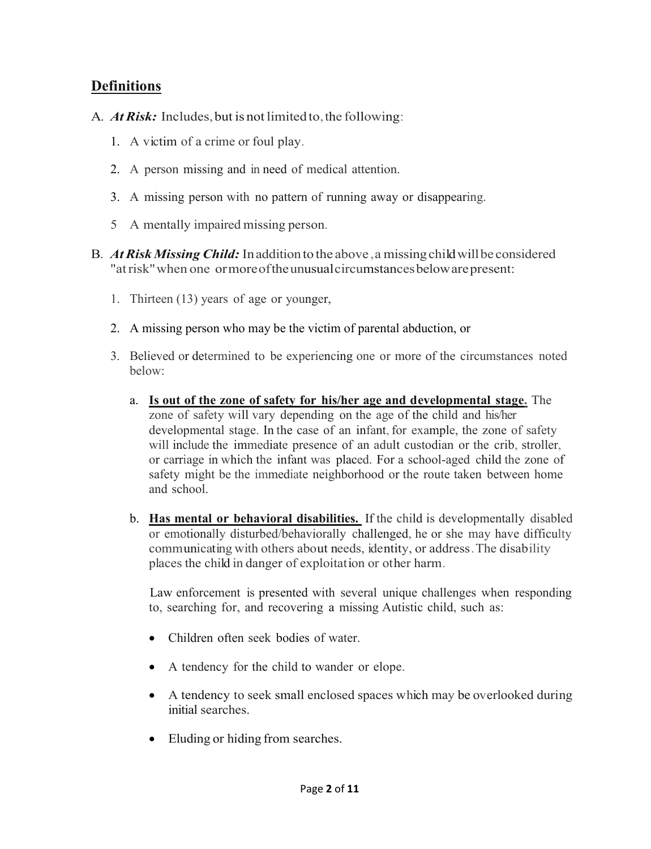# **Definitions**

- A. *At Risk:* Includes, but is not limited to, the following:
	- 1. A victim of a crime or foul play.
	- 2. A person missing and in need of medical attention.
	- 3. A missing person with no pattern of running away or disappearing.
	- 5 A mentally impaired missing person.
- B*. AtRisk Missing Child:* Inaddition to the above,a missingchildwillbe considered "atrisk"when one ormoreoftheunusualcircumstancesbelowarepresent:
	- 1. Thirteen (13) years of age or younger,
	- 2. A missing person who may be the victim of parental abduction, or
	- 3. Believed or determined to be experiencing one or more of the circumstances noted below:
		- a. **Is out of the zone of safety for his/her age and developmental stage.** The zone of safety will vary depending on the age of the child and his/her developmental stage. In the case of an infant, for example, the zone of safety will include the immediate presence of an adult custodian or the crib, stroller, or carriage in which the infant was placed. For a school-aged child the zone of safety might be the immediate neighborhood or the route taken between home and school.
		- b. **Has mental or behavioral disabilities.** If the child is developmentally disabled or emotionally disturbed/behaviorally challenged, he or she may have difficulty communicating with others about needs, identity, or address.The disability places the child in danger of exploitation or other harm.

Law enforcement is presented with several unique challenges when responding to, searching for, and recovering a missing Autistic child, such as:

- Children often seek bodies of water.
- A tendency for the child to wander or elope.
- A tendency to seek small enclosed spaces which may be overlooked during initial searches.
- Eluding or hiding from searches.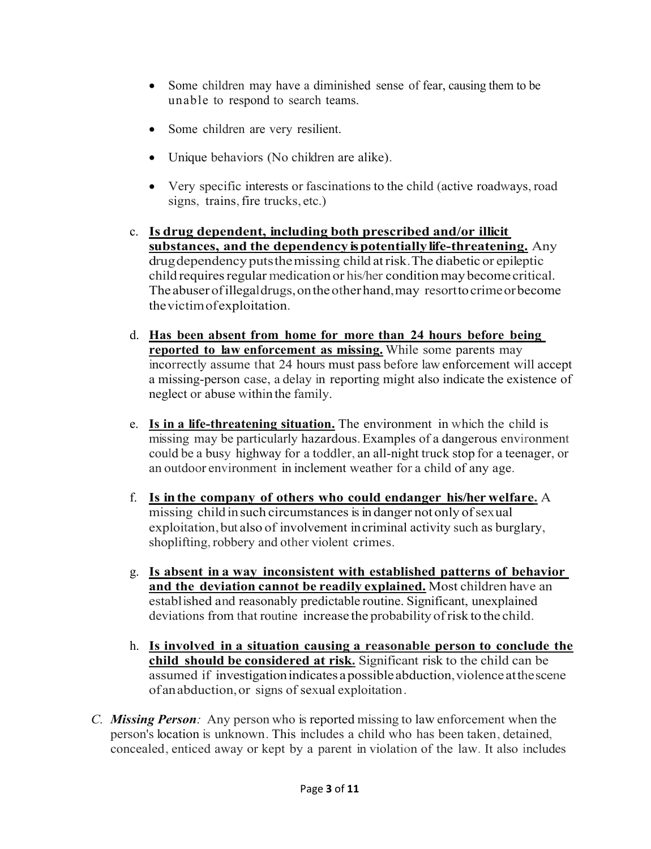- Some children may have a diminished sense of fear, causing them to be unable to respond to search teams.
- Some children are very resilient.
- Unique behaviors (No children are alike).
- Very specific interests or fascinations to the child (active roadways, road signs, trains, fire trucks, etc.)
- c. **Is drug dependent, including both prescribed and/or illicit substances, and the dependency ispotentiallylife-threatening.** Any drugdependencyputsthemissing child atrisk.The diabetic or epileptic child requires regular medication or his/her condition may become critical. The abuser of illegaldrugs, on the other hand, may resort to crime or become thevictimofexploitation.
- d. **Has been absent from home for more than 24 hours before being reported to law enforcement as missing.** While some parents may incorrectly assume that 24 hours must pass before law enforcement will accept a missing-person case, a delay in reporting might also indicate the existence of neglect or abuse within the family.
- e. **Is in a life-threatening situation.** The environment in which the child is missing may be particularly hazardous.Examples of a dangerous environment could be a busy highway for a toddler, an all-night truck stop for a teenager, or an outdoor environment in inclement weather for a child of any age.
- f. **Is inthe company of others who could endanger his/her welfare.** A missing child in such circumstances is in danger not only of sexual exploitation,but also of involvement incriminal activity such as burglary, shoplifting, robbery and other violent crimes.
- g. **Is absent in a way inconsistent with established patterns of behavior and the deviation cannot be readily explained.** Most children have an established and reasonably predictable routine. Significant, unexplained deviations from that routine increase the probability ofrisk to the child.
- h. **Is involved in a situation causing a reasonable person to conclude the child should be considered at risk.** Significant risk to the child can be assumed if investigation indicates a possible abduction, violence at the scene of anabduction,or signs of sexual exploitation.
- *C. Missing Person:* Any person who is reported missing to law enforcement when the person's location is unknown. This includes a child who has been taken, detained, concealed, enticed away or kept by a parent in violation of the law. It also includes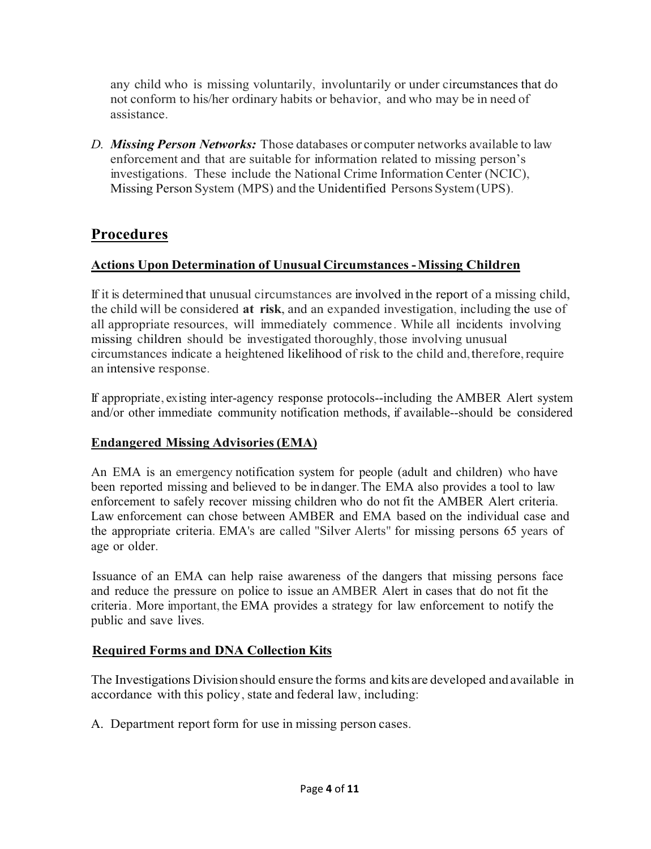any child who is missing voluntarily, involuntarily or under circumstances that do not conform to his/her ordinary habits or behavior, and who may be in need of assistance.

*D. Missing Person Networks:* Those databases or computer networks available to law enforcement and that are suitable for information related to missing person's investigations. These include the National Crime Information Center (NCIC), Missing Person System (MPS) and the Unidentified Persons System (UPS).

# **Procedures**

# **Actions Upon Determination of Unusual Circumstances -Missing Children**

If it is determined that unusual circumstances are involved in the report of a missing child, the child will be considered **at risk**, and an expanded investigation, including the use of all appropriate resources, will immediately commence. While all incidents involving missing children should be investigated thoroughly, those involving unusual circumstances indicate a heightened likelihood of risk to the child and, therefore, require an intensive response.

If appropriate, existing inter-agency response protocols--including the AMBER Alert system and/or other immediate community notification methods, if available--should be considered

# **Endangered Missing Advisories(EMA)**

An EMA is an emergency notification system for people (adult and children) who have been reported missing and believed to be indanger.The EMA also provides a tool to law enforcement to safely recover missing children who do not fit the AMBER Alert criteria. Law enforcement can chose between AMBER and EMA based on the individual case and the appropriate criteria. EMA's are called "Silver Alerts" for missing persons 65 years of age or older.

Issuance of an EMA can help raise awareness of the dangers that missing persons face and reduce the pressure on police to issue an AMBER Alert in cases that do not fit the criteria. More important, the EMA provides a strategy for law enforcement to notify the public and save lives.

# **Required Forms and DNA Collection Kits**

The Investigations Divisionshould ensure the forms and kits are developed and available in accordance with this policy, state and federal law, including:

A. Department report form for use in missing person cases.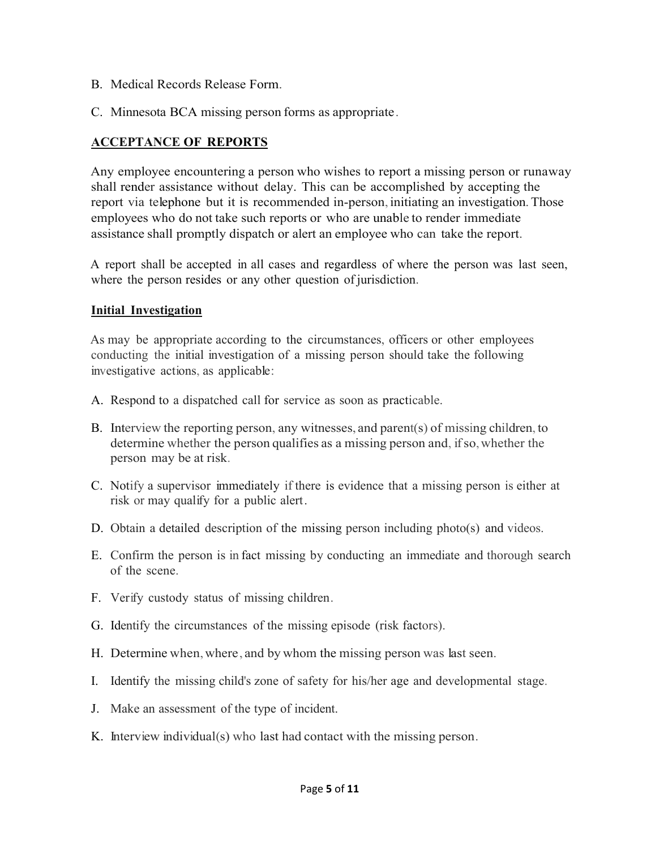- B. Medical Records Release Form.
- C. Minnesota BCA missing person forms as appropriate.

### **ACCEPTANCE OF REPORTS**

Any employee encountering a person who wishes to report a missing person or runaway shall render assistance without delay. This can be accomplished by accepting the report via telephone but it is recommended in-person, initiating an investigation.Those employees who do not take such reports or who are unable to render immediate assistance shall promptly dispatch or alert an employee who can take the report.

A report shall be accepted in all cases and regardless of where the person was last seen, where the person resides or any other question of jurisdiction.

#### **Initial Investigation**

As may be appropriate according to the circumstances, officers or other employees conducting the initial investigation of a missing person should take the following investigative actions, as applicable:

- A. Respond to a dispatched call for service as soon as practicable.
- B. Interview the reporting person, any witnesses, and parent(s) of missing children, to determine whether the person qualifies as a missing person and, if so, whether the person may be at risk.
- C. Notify a supervisor immediately if there is evidence that a missing person is either at risk or may qualify for a public alert.
- D. Obtain a detailed description of the missing person including photo(s) and videos.
- E. Confirm the person is in fact missing by conducting an immediate and thorough search of the scene.
- F. Verify custody status of missing children.
- G. Identify the circumstances of the missing episode (risk factors).
- H. Determine when,where, and by whom the missing person was last seen.
- I. Identify the missing child's zone of safety for his/her age and developmental stage.
- J. Make an assessment of the type of incident.
- K. Interview individual(s) who last had contact with the missing person.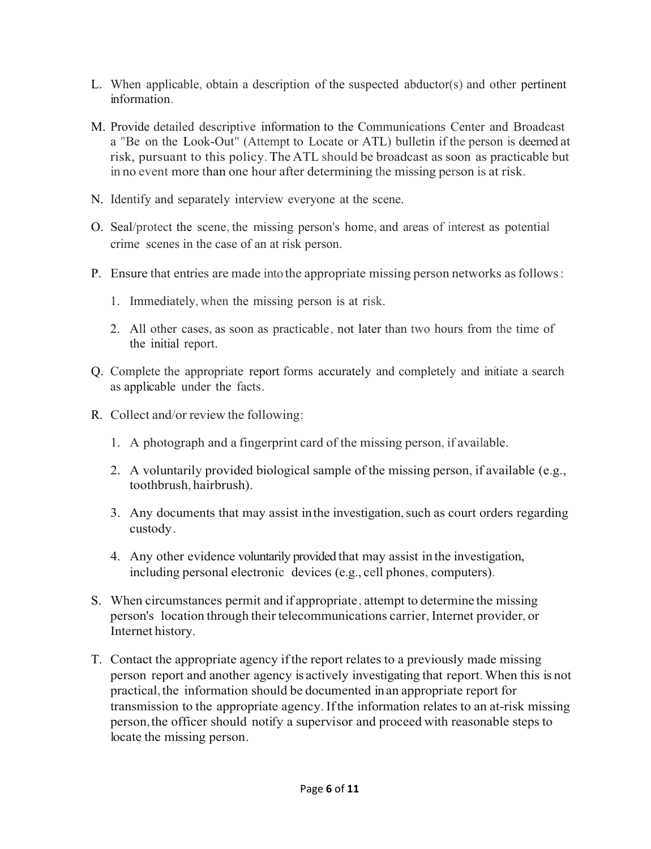- L. When applicable, obtain a description of the suspected abductor(s) and other pertinent information.
- M. Provide detailed descriptive information to the Communications Center and Broadcast a "Be on the Look-Out" (Attempt to Locate or ATL) bulletin if the person is deemed at risk, pursuant to this policy.The ATL should be broadcast as soon as practicable but in no event more than one hour after determining the missing person is at risk.
- N. Identify and separately interview everyone at the scene.
- O. Seal/protect the scene, the missing person's home, and areas of interest as potential crime scenes in the case of an at risk person.
- P. Ensure that entries are made intothe appropriate missing person networks asfollows:
	- 1. Immediately, when the missing person is at risk.
	- 2. All other cases, as soon as practicable, not later than two hours from the time of the initial report.
- Q. Complete the appropriate report forms accurately and completely and initiate a search as applicable under the facts.
- R. Collect and/or review the following:
	- 1. A photograph and a fingerprint card of the missing person, if available.
	- 2. A voluntarily provided biological sample of the missing person, if available (e.g., toothbrush, hairbrush).
	- 3. Any documents that may assist in the investigation, such as court orders regarding custody.
	- 4. Any other evidence voluntarily provided that may assist in the investigation, including personal electronic devices (e.g., cell phones, computers).
- S. When circumstances permit and if appropriate, attempt to determine the missing person's location through their telecommunications carrier, Internet provider, or Internet history.
- T. Contact the appropriate agency ifthe report relates to a previously made missing person report and another agency is actively investigating that report.When this is not practical,the information should be documented inan appropriate report for transmission to the appropriate agency. Ifthe information relates to an at-risk missing person,the officer should notify a supervisor and proceed with reasonable steps to locate the missing person.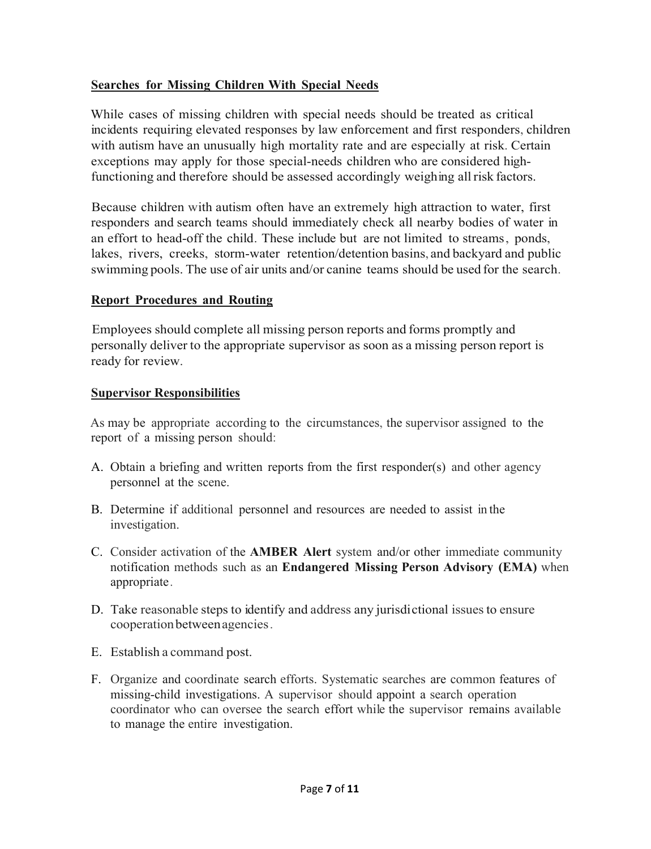### **Searches for Missing Children With Special Needs**

While cases of missing children with special needs should be treated as critical incidents requiring elevated responses by law enforcement and first responders, children with autism have an unusually high mortality rate and are especially at risk. Certain exceptions may apply for those special-needs children who are considered highfunctioning and therefore should be assessed accordingly weighing all risk factors.

Because children with autism often have an extremely high attraction to water, first responders and search teams should immediately check all nearby bodies of water in an effort to head-off the child. These include but are not limited to streams, ponds, lakes, rivers, creeks, storm-water retention/detention basins, and backyard and public swimming pools. The use of air units and/or canine teams should be used for the search.

### **Report Procedures and Routing**

Employees should complete all missing person reports and forms promptly and personally deliver to the appropriate supervisor as soon as a missing person report is ready for review.

#### **Supervisor Responsibilities**

As may be appropriate according to the circumstances, the supervisor assigned to the report of a missing person should:

- A. Obtain a briefing and written reports from the first responder(s) and other agency personnel at the scene.
- B. Determine if additional personnel and resources are needed to assist in the investigation.
- C. Consider activation of the **AMBER Alert** system and/or other immediate community notification methods such as an **Endangered Missing Person Advisory (EMA)** when appropriate.
- D. Take reasonable steps to identify and address any jurisdictional issuesto ensure cooperationbetweenagencies.
- E. Establish a command post.
- F. Organize and coordinate search efforts. Systematic searches are common features of missing-child investigations. A supervisor should appoint a search operation coordinator who can oversee the search effort while the supervisor remains available to manage the entire investigation.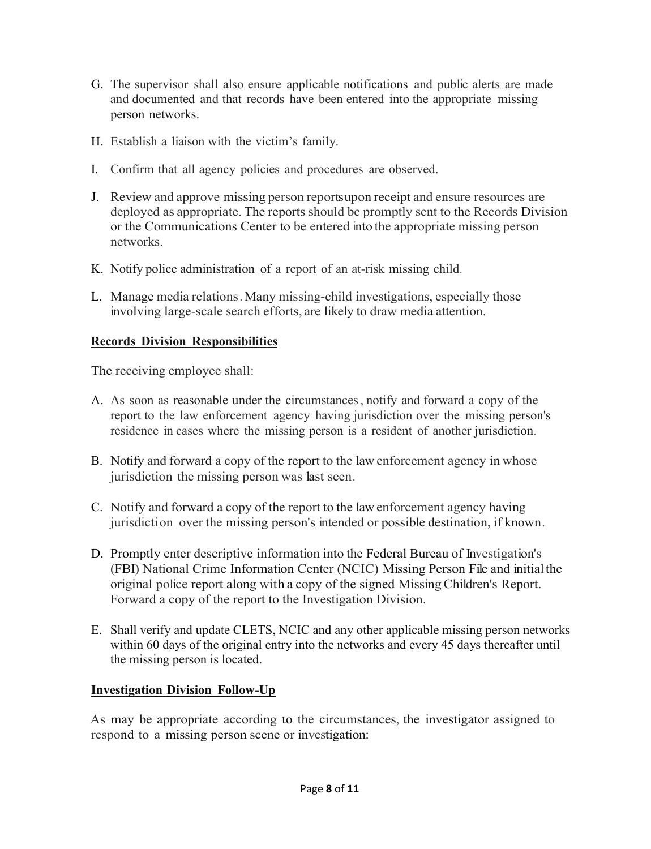- G. The supervisor shall also ensure applicable notifications and public alerts are made and documented and that records have been entered into the appropriate missing person networks.
- H. Establish a liaison with the victim's family.
- I. Confirm that all agency policies and procedures are observed.
- J. Review and approve missing person reportsupon receipt and ensure resources are deployed as appropriate. The reports should be promptly sent to the Records Division or the Communications Center to be entered into the appropriate missing person networks.
- K. Notify police administration of a report of an at-risk missing child.
- L. Manage media relations.Many missing-child investigations, especially those involving large-scale search efforts, are likely to draw media attention.

# **Records Division Responsibilities**

The receiving employee shall:

- A. As soon as reasonable under the circumstances, notify and forward a copy of the report to the law enforcement agency having jurisdiction over the missing person's residence in cases where the missing person is a resident of another jurisdiction.
- B. Notify and forward a copy of the report to the law enforcement agency in whose jurisdiction the missing person was last seen.
- C. Notify and forward a copy of the report to the law enforcement agency having jurisdiction over the missing person's intended or possible destination, if known.
- D. Promptly enter descriptive information into the Federal Bureau of Investigation's (FBI) National Crime Information Center (NCIC) Missing Person File and initialthe original police report along with a copy of the signed MissingChildren's Report. Forward a copy of the report to the Investigation Division.
- E. Shall verify and update CLETS, NCIC and any other applicable missing person networks within 60 days of the original entry into the networks and every 45 days thereafter until the missing person is located.

# **Investigation Division Follow-Up**

As may be appropriate according to the circumstances, the investigator assigned to respond to a missing person scene or investigation: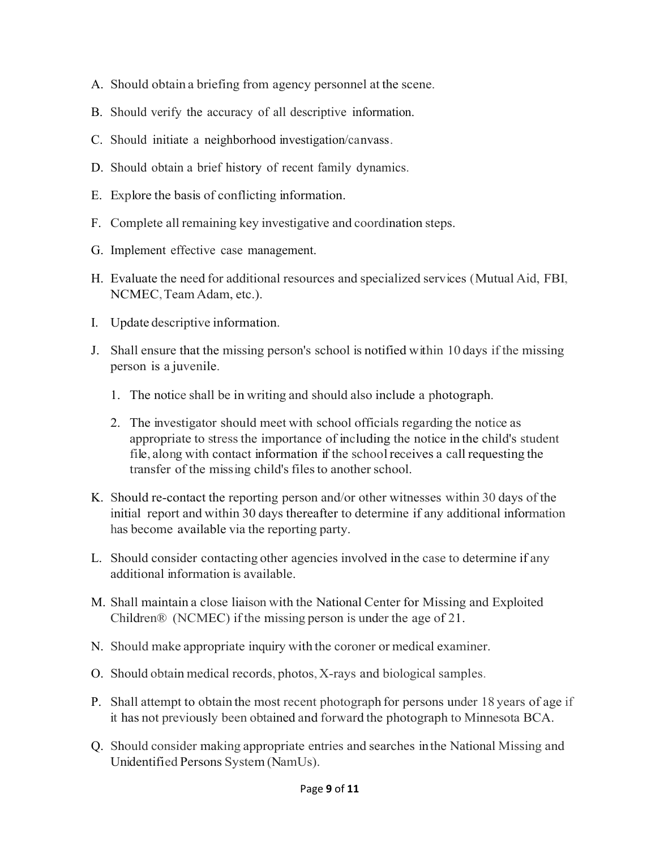- A. Should obtain a briefing from agency personnel at the scene.
- B. Should verify the accuracy of all descriptive information.
- C. Should initiate a neighborhood investigation/canvass.
- D. Should obtain a brief history of recent family dynamics.
- E. Explore the basis of conflicting information.
- F. Complete all remaining key investigative and coordination steps.
- G. Implement effective case management.
- H. Evaluate the need for additional resources and specialized services (Mutual Aid, FBI, NCMEC, Team Adam, etc.).
- I. Update descriptive information.
- J. Shall ensure that the missing person's school is notified within 10 days if the missing person is a juvenile.
	- 1. The notice shall be in writing and should also include a photograph.
	- 2. The investigator should meet with school officials regarding the notice as appropriate to stressthe importance of including the notice in the child's student file, along with contact information if the schoolreceives a call requesting the transfer of the missing child's files to another school.
- K. Should re-contact the reporting person and/or other witnesses within 30 days of the initial report and within 30 days thereafter to determine if any additional information has become available via the reporting party.
- L. Should consider contacting other agencies involved in the case to determine if any additional information is available.
- M. Shall maintain a close liaison with the National Center for Missing and Exploited Children® (NCMEC) if the missing person is under the age of 21.
- N. Should make appropriate inquiry with the coroner or medical examiner.
- O. Should obtain medical records, photos,X-rays and biological samples.
- P. Shall attempt to obtain the most recent photograph for persons under 18 years of age if it has not previously been obtained and forward the photograph to Minnesota BCA.
- Q. Should consider making appropriate entries and searches inthe National Missing and Unidentified Persons System (NamUs).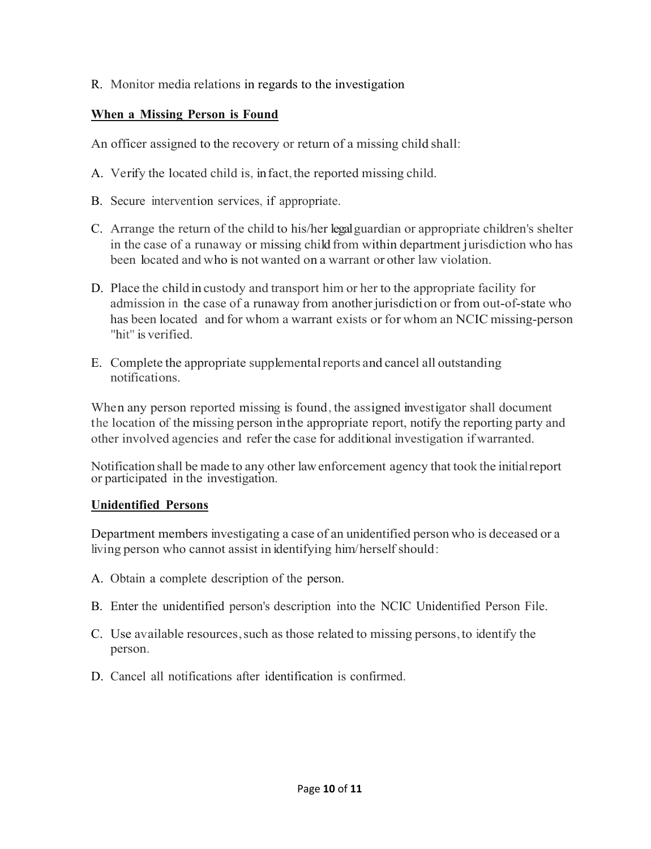R. Monitor media relations in regards to the investigation

### **When a Missing Person is Found**

An officer assigned to the recovery or return of a missing child shall:

- A. Verify the located child is, infact,the reported missing child.
- B. Secure intervention services, if appropriate.
- C. Arrange the return of the child to his/her legalguardian or appropriate children's shelter in the case of a runaway or missing child from within department jurisdiction who has been located and who is not wanted on a warrant or other law violation.
- D. Place the child in custody and transport him or her to the appropriate facility for admission in the case of a runaway from another jurisdiction or from out-of-state who has been located and for whom a warrant exists or for whom an NCIC missing-person "hit" is verified.
- E. Complete the appropriate supplementalreports and cancel all outstanding notifications.

When any person reported missing is found, the assigned investigator shall document the location of the missing person inthe appropriate report, notify the reporting party and other involved agencies and refer the case for additional investigation if warranted.

Notification shall be made to any other lawenforcement agency that took the initialreport or participated in the investigation.

#### **Unidentified Persons**

Department members investigating a case of an unidentified person who is deceased or a living person who cannot assist in identifying him/herself should:

- A. Obtain a complete description of the person.
- B. Enter the unidentified person's description into the NCIC Unidentified Person File.
- C. Use available resources,such as those related to missing persons,to identify the person.
- D. Cancel all notifications after identification is confirmed.